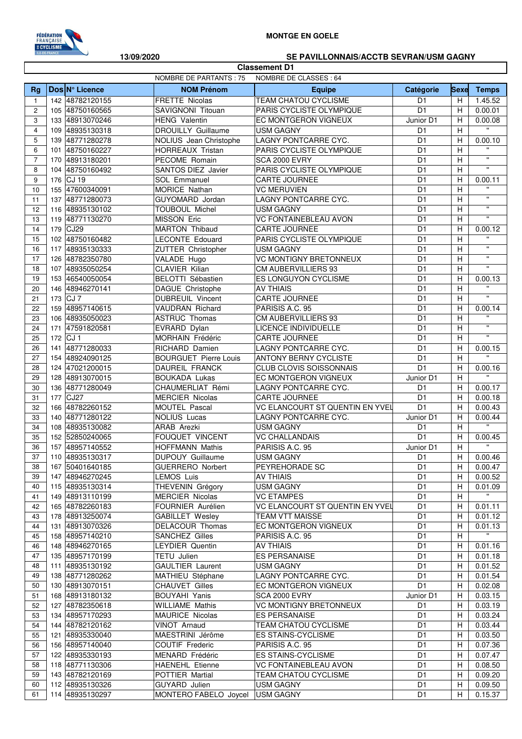

## **MONTGE EN GOELE**

## **13/09/2020 SE PAVILLONNAIS/ACCTB SEVRAN/USM GAGNY**

|                |     |                                    |                                                 | <b>Classement D1</b>                                 |                                  |                |                                    |
|----------------|-----|------------------------------------|-------------------------------------------------|------------------------------------------------------|----------------------------------|----------------|------------------------------------|
|                |     |                                    | NOMBRE DE PARTANTS : 75                         | NOMBRE DE CLASSES : 64                               |                                  |                |                                    |
| <b>Rg</b>      |     | Dos N° Licence                     | <b>NOM Prénom</b>                               | <b>Equipe</b>                                        | Catégorie                        | <b>Sexe</b>    | <b>Temps</b>                       |
| $\mathbf{1}$   |     | 142 48782120155                    | FRETTE Nicolas                                  | <b>TEAM CHATOU CYCLISME</b>                          | D <sub>1</sub>                   | H              | 1.45.52                            |
| 2              |     | 105 48750160565                    | SAVIGNONI Titouan                               | PARIS CYCLISTE OLYMPIQUE                             | D <sub>1</sub>                   | Н              | 0.00.01                            |
| 3              |     | 133 48913070246                    | <b>HENG Valentin</b>                            | EC MONTGERON VIGNEUX                                 | Junior D1                        | H              | 0.00.08                            |
| $\overline{4}$ |     | 109 48935130318                    | <b>DROUILLY Guillaume</b>                       | <b>USM GAGNY</b>                                     | D <sub>1</sub>                   | H              | $\mathbf{H}$                       |
| 5              |     | 139 48771280278                    | NOLIUS Jean Christophe                          | LAGNY PONTCARRE CYC.                                 | D <sub>1</sub>                   | Н              | 0.00.10                            |
| 6              |     | 101 48750160227                    | HORREAUX Tristan                                | PARIS CYCLISTE OLYMPIQUE                             | D <sub>1</sub>                   | H              | $\mathbf{H}$                       |
| $\overline{7}$ |     | 170 48913180201                    | PECOME Romain                                   | SCA 2000 EVRY                                        | D <sub>1</sub>                   | H              | $\mathbf{u}$                       |
| 8              |     | 104 48750160492                    | SANTOS DIEZ Javier                              | PARIS CYCLISTE OLYMPIQUE                             | D <sub>1</sub>                   | H              | $\pmb{\mathsf{H}}$                 |
| 9              |     | 176 CJ 19                          | SOL Emmanuel                                    | CARTE JOURNEE                                        | D <sub>1</sub>                   | H              | 0.00.11                            |
| 10             |     | 155 47600340091                    | MORICE Nathan                                   | <b>VC MERUVIEN</b>                                   | D <sub>1</sub>                   | H              | $\mathbf{u}$<br>$\pmb{\mathsf{H}}$ |
| 11             |     | 137 48771280073                    | GUYOMARD Jordan                                 | LAGNY PONTCARRE CYC.                                 | D <sub>1</sub>                   | H              | $\mathbf{H}$                       |
| 12             |     | 116 48935130102                    | TOUBOUL Michel                                  | <b>USM GAGNY</b>                                     | D <sub>1</sub>                   | H              | $\mathbf{H}$                       |
| 13             |     | 119 48771130270                    | MISSON Eric                                     | <b>VC FONTAINEBLEAU AVON</b>                         | D <sub>1</sub><br>D <sub>1</sub> | H              |                                    |
| 14             |     | 179 CJ29<br>102 48750160482        | <b>MARTON Thibaud</b><br><b>LECONTE Edouard</b> | CARTE JOURNEE<br>PARIS CYCLISTE OLYMPIQUE            | D <sub>1</sub>                   | Н<br>H         | 0.00.12<br>$\mathbf{u}$            |
| 15<br>16       |     | 117 48935130333                    | ZUTTER Christopher                              | <b>USM GAGNY</b>                                     | D <sub>1</sub>                   | H              | $\mathbf{u}$                       |
| 17             |     | 126 48782350780                    | VALADE Hugo                                     | <b>VC MONTIGNY BRETONNEUX</b>                        | D <sub>1</sub>                   | H              | $\mathbf{H}$                       |
| 18             |     | 107 48935050254                    | CLAVIER Kilian                                  | <b>CM AUBERVILLIERS 93</b>                           | D <sub>1</sub>                   | H              | $\mathbf{H}$                       |
| 19             |     | 153 46540050054                    | <b>BELOTTI Sébastien</b>                        | ES LONGUYON CYCLISME                                 | D <sub>1</sub>                   | н              | 0.00.13                            |
| 20             |     | 146 48946270141                    | DAGUE Christophe                                | <b>AV THIAIS</b>                                     | D <sub>1</sub>                   | H              |                                    |
| 21             |     | 173 CJ 7                           | DUBREUIL Vincent                                | CARTE JOURNEE                                        | D <sub>1</sub>                   | H              | $\mathbf{H}$                       |
| 22             |     | 159 48957140615                    | <b>VAUDRAN Richard</b>                          | PARISIS A.C. 95                                      | D <sub>1</sub>                   | Н              | 0.00.14                            |
| 23             |     | 106 48935050023                    | <b>ASTRUC Thomas</b>                            | <b>CM AUBERVILLIERS 93</b>                           | D <sub>1</sub>                   | H              | $\mathbf{H}$                       |
| 24             | 171 | 47591820581                        | EVRARD Dylan                                    | LICENCE INDIVIDUELLE                                 | D <sub>1</sub>                   | H              | $\mathbf{u}$                       |
| 25             | 172 | CJ <sub>1</sub>                    | MORHAIN Frédéric                                | CARTE JOURNEE                                        | D <sub>1</sub>                   | H              | $\mathbf{H}$                       |
| 26             | 141 | 48771280033                        | RICHARD Damien                                  | LAGNY PONTCARRE CYC.                                 | D <sub>1</sub>                   | н              | 0.00.15                            |
| 27             | 154 | 48924090125                        | <b>BOURGUET Pierre Louis</b>                    | <b>ANTONY BERNY CYCLISTE</b>                         | D <sub>1</sub>                   | H              | $\mathbf{u}$                       |
| 28             |     | 124 47021200015                    | DAUREIL FRANCK                                  | CLUB CLOVIS SOISSONNAIS                              | D <sub>1</sub>                   | H              | 0.00.16                            |
| 29             |     | 128 48913070015                    | <b>BOUKADA Lukas</b>                            | EC MONTGERON VIGNEUX                                 | Junior D1                        | H              | $\mathbf{u}$                       |
| 30             |     | 136 48771280049                    | CHAUMERLIAT Rémi                                | LAGNY PONTCARRE CYC.                                 | D <sub>1</sub>                   | н              | 0.00.17                            |
| 31             | 177 | CJ27                               | <b>MERCIER Nicolas</b>                          | CARTE JOURNEE                                        | D <sub>1</sub>                   | Н              | 0.00.18                            |
| 32             |     | 166 48782260152                    | MOUTEL Pascal                                   | VC ELANCOURT ST QUENTIN EN YVEL                      | D <sub>1</sub>                   | H              | 0.00.43                            |
| 33             |     | 140 48771280122                    | NOLIUS Lucas                                    | LAGNY PONTCARRE CYC.                                 | Junior D1                        | н              | 0.00.44                            |
| 34             |     | 108 48935130082                    | ARAB Arezki                                     | <b>USM GAGNY</b>                                     | D <sub>1</sub>                   | H              | $\overline{\mathbf{u}}$            |
| 35             |     | 152 52850240065                    | <b>FOUQUET VINCENT</b>                          | <b>VC CHALLANDAIS</b>                                | D <sub>1</sub>                   | Н              | 0.00.45                            |
| 36             |     | 157 48957140552                    | <b>HOFFMANN Mathis</b>                          | PARISIS A.C. 95                                      | Junior D1                        | H              | $\mathbf{H}$                       |
| 37             |     | 110 48935130317                    | <b>DUPOUY Guillaume</b>                         | <b>USM GAGNY</b>                                     | D <sub>1</sub>                   | $\overline{H}$ | 0.00.46                            |
| 38             |     | 167 50401640185                    | <b>GUERRERO Norbert</b>                         | PEYREHORADE SC                                       | D <sub>1</sub>                   | H              | 0.00.47                            |
| 39             |     | 147 48946270245                    | <b>LEMOS Luis</b>                               | <b>AV THIAIS</b>                                     | D1                               | H              | 0.00.52                            |
| 40             |     | 115 48935130314                    | THEVENIN Grégory                                | <b>USM GAGNY</b>                                     | D <sub>1</sub>                   | н              | 0.01.09                            |
| 41<br>42       |     | 149 48913110199<br>165 48782260183 | <b>MERCIER Nicolas</b><br>FOURNIER Aurélien     | <b>VC ETAMPES</b><br>VC ELANCOURT ST QUENTIN EN YVEL | D <sub>1</sub><br>D <sub>1</sub> | H<br>H         | 0.01.11                            |
| 43             |     | 178 48913250074                    | <b>GABILLET Wesley</b>                          | TEAM VTT MAISSE                                      | D <sub>1</sub>                   | H              | 0.01.12                            |
| 44             |     | 131 48913070326                    | DELACOUR Thomas                                 | EC MONTGERON VIGNEUX                                 | D <sub>1</sub>                   | H              | 0.01.13                            |
| 45             |     | 158 48957140210                    | <b>SANCHEZ Gilles</b>                           | PARISIS A.C. 95                                      | D <sub>1</sub>                   | H              | $\mathbf{u}$                       |
| 46             |     | 148 48946270165                    | <b>LEYDIER Quentin</b>                          | <b>AV THIAIS</b>                                     | D <sub>1</sub>                   | Н              | 0.01.16                            |
| 47             |     | 135 48957170199                    | TETU Julien                                     | <b>ES PERSANAISE</b>                                 | D <sub>1</sub>                   | Н              | 0.01.18                            |
| 48             |     | 111 48935130192                    | <b>GAULTIER Laurent</b>                         | <b>USM GAGNY</b>                                     | D <sub>1</sub>                   | H              | 0.01.52                            |
| 49             |     | 138 48771280262                    | MATHIEU Stéphane                                | LAGNY PONTCARRE CYC.                                 | D <sub>1</sub>                   | н              | 0.01.54                            |
| 50             |     | 130 48913070151                    | <b>CHAUVET Gilles</b>                           | EC MONTGERON VIGNEUX                                 | D <sub>1</sub>                   | H              | 0.02.08                            |
| 51             |     | 168 48913180132                    | <b>BOUYAHI Yanis</b>                            | SCA 2000 EVRY                                        | Junior D1                        | H              | 0.03.15                            |
| 52             |     | 127 48782350618                    | <b>WILLIAME Mathis</b>                          | <b>VC MONTIGNY BRETONNEUX</b>                        | D <sub>1</sub>                   | H              | 0.03.19                            |
| 53             |     | 134 48957170293                    | MAURICE Nicolas                                 | ES PERSANAISE                                        | D <sub>1</sub>                   | H              | 0.03.24                            |
| 54             |     | 144 48782120162                    | VINOT Arnaud                                    | TEAM CHATOU CYCLISME                                 | D1                               | H              | 0.03.44                            |
| 55             |     | 121 48935330040                    | MAESTRINI Jérôme                                | <b>ES STAINS-CYCLISME</b>                            | D <sub>1</sub>                   | H              | 0.03.50                            |
| 56             |     | 156 48957140040                    | COUTIF Frederic                                 | PARISIS A.C. 95                                      | D <sub>1</sub>                   | H              | 0.07.36                            |
| 57             |     | 122 48935330193                    | MENARD Frédéric                                 | <b>ES STAINS-CYCLISME</b>                            | D <sub>1</sub>                   | н              | 0.07.47                            |
| 58             |     | 118 48771130306                    | <b>HAENEHL Etienne</b>                          | VC FONTAINEBLEAU AVON                                | D <sub>1</sub>                   | Н              | 0.08.50                            |
| 59             |     | 143 48782120169                    | POTTIER Martial                                 | <b>TEAM CHATOU CYCLISME</b>                          | D <sub>1</sub>                   | H              | 0.09.20                            |
| 60             |     | 112 48935130326                    | GUYARD Julien                                   | USM GAGNY                                            | D <sub>1</sub>                   | H              | 0.09.50                            |
| 61             |     | 114 48935130297                    | MONTERO FABELO Joycel                           | USM GAGNY                                            | D <sub>1</sub>                   | H              | 0.15.37                            |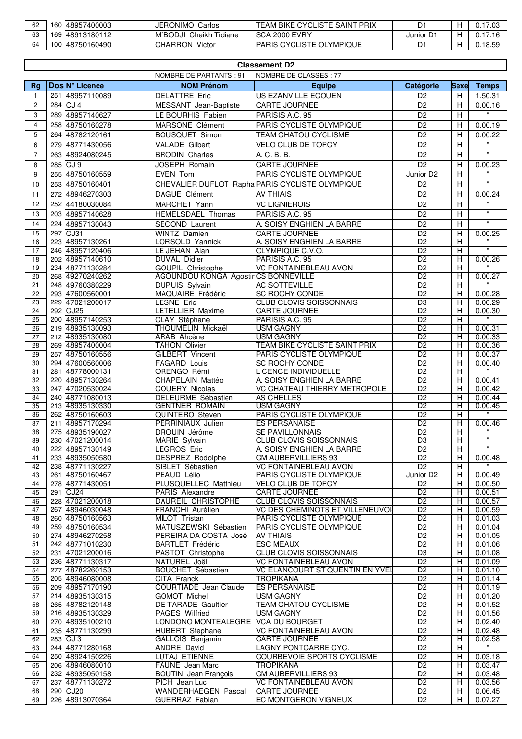| 62 | 160 | 48957400003 | <b>JERONIMO</b><br>Carlos  | ITEAM BIKE CYCLISTE SAINT PRIX  | D١        |       |
|----|-----|-------------|----------------------------|---------------------------------|-----------|-------|
| 63 | 169 | 48913180112 | IM`BODJI Cheikh<br>Tidiane | ISCA 2000 EVRY                  | Junior D1 |       |
| 64 | 100 | 48750160490 | CHARRON<br>Victor          | <b>PARIS CYCLISTE OLYMPIQUE</b> | D1        | 18.50 |

|                 | <b>Classement D2</b> |                                    |                                            |                                                       |                                         |             |                              |  |
|-----------------|----------------------|------------------------------------|--------------------------------------------|-------------------------------------------------------|-----------------------------------------|-------------|------------------------------|--|
|                 |                      |                                    | NOMBRE DE PARTANTS : 91                    | NOMBRE DE CLASSES : 77                                |                                         |             |                              |  |
| Rg              |                      | Dos N° Licence                     | <b>NOM Prénom</b>                          | <b>Equipe</b>                                         | Catégorie                               | <b>Sexe</b> | <b>Temps</b>                 |  |
| $\mathbf{1}$    | 251                  | 48957110089                        | <b>DELATTRE Eric</b>                       | US EZANVILLE ECOUEN                                   | D <sub>2</sub>                          | H           | 1.50.31                      |  |
| $\overline{c}$  | 284                  | CJ <sub>4</sub>                    | MESSANT Jean-Baptiste                      | <b>CARTE JOURNEE</b>                                  | D <sub>2</sub>                          | H           | 0.00.16                      |  |
| 3               | 289                  | 48957140627                        | LE BOURHIS Fabien                          | PARISIS A.C. 95                                       | D <sub>2</sub>                          | H           | $\mathbf{H}$                 |  |
| $\overline{4}$  | 258                  | 48750160278                        | MARSONE Clément                            | PARIS CYCLISTE OLYMPIQUE                              | $\overline{D2}$                         | H           | 0.00.19                      |  |
| 5               | 264                  | 48782120161                        | <b>BOUSQUET Simon</b>                      | TEAM CHATOU CYCLISME                                  | D <sub>2</sub>                          | H           | 0.00.22                      |  |
| 6               | 279                  | 48771430056                        | <b>VALADE Gilbert</b>                      | VELO CLUB DE TORCY                                    | D <sub>2</sub>                          | H           | $\mathbf{u}$                 |  |
| $\overline{7}$  | 263                  | 48924080245                        | <b>BRODIN Charles</b>                      | A. C. B. B.                                           | D <sub>2</sub>                          | H           | $\mathbf{u}$                 |  |
|                 |                      |                                    |                                            |                                                       |                                         |             |                              |  |
| 8               | 285                  | CJ <sub>9</sub>                    | JOSEPH Romain                              | <b>CARTE JOURNEE</b>                                  | D <sub>2</sub>                          | H           | 0.00.23<br>$\mathbf{u}$      |  |
| 9               | 255                  | 48750160559                        | <b>EVEN Tom</b>                            | PARIS CYCLISTE OLYMPIQUE                              | Junior D <sub>2</sub>                   | H           |                              |  |
| 10              | 253                  | 48750160401                        |                                            | CHEVALIER DUFLOT Rapha PARIS CYCLISTE OLYMPIQUE       | D <sub>2</sub>                          | H           | $\mathbf{u}$                 |  |
| 11              | 272                  | 48946270303                        | DAGUE Clément                              | <b>AV THIAIS</b>                                      | D <sub>2</sub>                          | H           | 0.00.24                      |  |
| 12              | 252                  | 44180030084                        | MARCHET Yann                               | <b>VC LIGNIEROIS</b>                                  | D <sub>2</sub>                          | H           | $\mathbf{u}$                 |  |
| 13              | 203                  | 48957140628                        | HEMELSDAEL Thomas                          | PARISIS A.C. 95                                       | $\overline{D2}$                         | H           | $\mathbf{u}$                 |  |
| 14              | 224                  | 48957130043                        | <b>SECOND Laurent</b>                      | A. SOISY ENGHIEN LA BARRE                             | $\overline{D2}$                         | H           | $\mathbf{u}$                 |  |
| 15              | 297                  | CJ31                               | <b>WINTZ Damien</b>                        | <b>CARTE JOURNEE</b>                                  | D <sub>2</sub>                          | H           | 0.00.25                      |  |
| 16              | 223                  | 48957130261                        | LORSOLD Yannick                            | A. SOISY ENGHIEN LA BARRE                             | D <sub>2</sub>                          | H           |                              |  |
| 17              | 246                  | 48957120406                        | LE JEHAN Alan                              | OLYMPIQUE C.V.O.                                      | $\overline{D2}$                         | H           | $\overline{\mathbf{u}}$      |  |
| 18              | 202                  | 48957140610                        | <b>DUVAL Didier</b>                        | PARISIS A.C. 95                                       | D <sub>2</sub>                          | Н           | 0.00.26                      |  |
| 19              |                      | 234 48771130284                    | <b>GOUPIL Christophe</b>                   | <b>VC FONTAINEBLEAU AVON</b>                          | $\overline{D2}$                         | H           |                              |  |
| 20              | 268                  | 49270240262                        | <b>AGOUNDOU KONGA AgostirCS BONNEVILLE</b> |                                                       | D <sub>2</sub>                          | H           | 0.00.27                      |  |
| 21              | 248                  | 49760380229                        | <b>DUPUIS Sylvain</b>                      | <b>AC SOTTEVILLE</b>                                  | D <sub>2</sub>                          | H           | $\mathbf{H}$                 |  |
| 22              |                      | 293 47600560001                    | MAQUAIRE Frédéric                          | <b>SC ROCHY CONDE</b>                                 | $\overline{D2}$                         | H           | 0.00.28                      |  |
| 23              |                      | 229 47021200017                    | <b>LESNE Eric</b>                          | <b>CLUB CLOVIS SOISSONNAIS</b>                        | D <sub>3</sub>                          | H           | 0.00.29                      |  |
| 24              | 292                  | CJ <sub>25</sub>                   | LETELLIER Maxime                           | <b>CARTE JOURNEE</b>                                  | D <sub>2</sub>                          | H           | 0.00.30                      |  |
| 25              | 200                  | 48957140253                        | CLAY Stéphane                              | PARISIS A.C. 95                                       | D <sub>2</sub><br>$\overline{D2}$       | H<br>H      | 0.00.31                      |  |
| 26<br>27        | 219<br>212           | 48935130093<br>48935130080         | THOUMELIN Mickaël<br>ARAB Ahcène           | <b>USM GAGNY</b><br><b>USM GAGNY</b>                  | D <sub>2</sub>                          | H           | 0.00.33                      |  |
| 28              |                      | 269 48957400004                    | <b>TAHON Olivier</b>                       | TEAM BIKE CYCLISTE SAINT PRIX                         | D <sub>2</sub>                          | H           | 0.00.36                      |  |
| $\overline{29}$ | 257                  | 48750160556                        | GILBERT Vincent                            | PARIS CYCLISTE OLYMPIQUE                              | D <sub>2</sub>                          | H           | 0.00.37                      |  |
| 30              |                      | 294 47600560006                    | <b>FAGARD Louis</b>                        | <b>SC ROCHY CONDE</b>                                 | D <sub>2</sub>                          | H           | 0.00.40                      |  |
| 31              |                      | 281 48778000131                    | ORENGO Rémi                                | <b>LICENCE INDIVIDUELLE</b>                           | $\overline{D2}$                         | H           | $\mathbf{u}$                 |  |
| 32              | 220                  | 48957130264                        | CHAPELAIN Mattéo                           | A. SOISY ENGHIEN LA BARRE                             | D <sub>2</sub>                          | Н           | 0.00.41                      |  |
| 33              | 247                  | 47020530024                        | <b>COUERY Nicolas</b>                      | VC CHATEAU THIERRY METROPOLE                          | $\overline{D2}$                         | H           | 0.00.42                      |  |
| 34              | 240                  | 48771080013                        | DELEURME Sébastien                         | <b>AS CHELLES</b>                                     | $\overline{D2}$                         | H           | 0.00.44                      |  |
| $\overline{35}$ | 213                  | 48935130330                        | <b>GENTNER ROMAIN</b>                      | <b>USM GAGNY</b>                                      | D <sub>2</sub>                          | Н           | 0.00.45                      |  |
| 36              |                      | 262 48750160603                    | QUINTERO Steven                            | PARIS CYCLISTE OLYMPIQUE                              | D <sub>2</sub>                          | H           |                              |  |
| 37              |                      | 211 48957170294                    | PERRINIAUX Julien                          | <b>ES PERSANAISE</b>                                  | $\overline{D2}$                         | H           | 0.00.46                      |  |
| 38              | 275                  | 48935190027                        | DROUIN Jérôme                              | <b>SE PAVILLONNAIS</b>                                | D <sub>2</sub>                          | H           |                              |  |
| 39              | 230                  | 47021200014                        | <b>MARIE Sylvain</b>                       | <b>CLUB CLOVIS SOISSONNAIS</b>                        | D <sub>3</sub>                          | H           | $\overline{\mathbf{u}}$<br>π |  |
| 40              | 222                  | 48957130149                        | <b>LEGROS Eric</b>                         | A. SOISY ENGHIEN LA BARRE                             | D <sub>2</sub>                          | H           |                              |  |
| 41              |                      | 233 48935050580                    | DESPREZ Rodolphe                           | <b>CM AUBERVILLIERS 93</b>                            | D <sub>2</sub>                          | H           | 0.00.48                      |  |
| 42              |                      | 238 48771130227                    | SIBLET Sébastien                           | <b>VC FONTAINEBLEAU AVON</b>                          | D <sub>2</sub>                          | H           |                              |  |
| 43<br>44        |                      | 261 48750160467<br>278 48771430051 | PEAUD Lélio<br>PLUSQUELLEC Matthieu        | PARIS CYCLISTE OLYMPIQUE<br><b>VELO CLUB DE TORCY</b> | Junior D <sub>2</sub><br>D <sub>2</sub> | H<br>H      | 0.00.49<br>0.00.50           |  |
| 45              |                      | 291 CJ24                           | PARIS Alexandre                            | <b>CARTE JOURNEE</b>                                  | D <sub>2</sub>                          | H           | 0.00.51                      |  |
| 46              |                      | 228 47021200018                    | DAUREIL CHRISTOPHE                         | <b>CLUB CLOVIS SOISSONNAIS</b>                        | D <sub>2</sub>                          | H           | 0.00.57                      |  |
| 47              |                      | 267 48946030048                    | FRANCHI Aurélien                           | VC DES CHEMINOTS ET VILLENEUVOI                       | D <sub>2</sub>                          | H           | 0.00.59                      |  |
| 48              |                      | 260 48750160563                    | MILOT Tristan                              | <b>PARIS CYCLISTE OLYMPIQUE</b>                       | D <sub>2</sub>                          | H           | 0.01.03                      |  |
| 49              |                      | 259 48750160534                    | MATUSZEWSKI Sébastien                      | PARIS CYCLISTE OLYMPIQUE                              | D <sub>2</sub>                          | H           | 0.01.04                      |  |
| 50              |                      | 274 48946270258                    | PEREIRA DA COSTA José                      | <b>AV THIAIS</b>                                      | D <sub>2</sub>                          | H           | 0.01.05                      |  |
| 51              |                      | 242 48771010230                    | <b>BARTLET Frédéric</b>                    | <b>ESC MEAUX</b>                                      | D <sub>2</sub>                          | H           | 0.01.06                      |  |
| 52              |                      | 231 47021200016                    | PASTOT Christophe                          | <b>CLUB CLOVIS SOISSONNAIS</b>                        | D <sub>3</sub>                          | H           | 0.01.08                      |  |
| 53              |                      | 236 48771130317                    | NATUREL Joël                               | <b>VC FONTAINEBLEAU AVON</b>                          | D <sub>2</sub>                          | H           | 0.01.09                      |  |
| 54              |                      | 277 48782260153                    | <b>BOUCHET Sébastien</b>                   | VC ELANCOURT ST QUENTIN EN YVEL                       | D <sub>2</sub>                          | H           | 0.01.10                      |  |
| 55              |                      | 205 48946080008                    | CITA Franck                                | <b>TROPIKANA</b>                                      | D <sub>2</sub>                          | H           | 0.01.14                      |  |
| 56              |                      | 209 48957170190                    | COURTIADE Jean Claude                      | <b>ES PERSANAISE</b>                                  | D <sub>2</sub>                          | H           | 0.01.19                      |  |
| 57              |                      | 214 48935130315                    | <b>GOMOT Michel</b>                        | <b>USM GAGNY</b>                                      | D <sub>2</sub>                          | H           | 0.01.20                      |  |
| 58              |                      | 265 48782120148<br>216 48935130329 | DE TARADE Gaultier<br>PAGES Wilfried       | <b>TEAM CHATOU CYCLISME</b><br>USM GAGNY              | D <sub>2</sub><br>D <sub>2</sub>        | H<br>H      | 0.01.52<br>0.01.56           |  |
| 59<br>60        |                      | 270 48935100210                    | LONDONO MONTEALEGRE                        | <b>VCA DU BOURGET</b>                                 | D <sub>2</sub>                          | H           | 0.02.40                      |  |
| 61              |                      | 235 48771130299                    | HUBERT Stephane                            | <b>VC FONTAINEBLEAU AVON</b>                          | D <sub>2</sub>                          | H           | 0.02.48                      |  |
| 62              |                      | 283 CJ 3                           | GALLOIS Benjamin                           | <b>CARTE JOURNEE</b>                                  | D <sub>2</sub>                          | H           | 0.02.58                      |  |
| 63              |                      | 244 48771280168                    | <b>ANDRE David</b>                         | LAGNY PONTCARRE CYC.                                  | D <sub>2</sub>                          | H           |                              |  |
| 64              |                      | 250 48924150226                    | LUTAJ ETIENNE                              | COURBEVOIE SPORTS CYCLISME                            | D <sub>2</sub>                          | H           | 0.03.18                      |  |
| 65              |                      | 206 48946080010                    | <b>FAUNE</b> Jean Marc                     | <b>TROPIKANA</b>                                      | D <sub>2</sub>                          | H           | 0.03.47                      |  |
| 66              |                      | 232 48935050158                    | <b>BOUTIN</b> Jean François                | CM AUBERVILLIERS 93                                   | D <sub>2</sub>                          | H           | 0.03.48                      |  |
| 67              |                      | 237 48771130272                    | PICH Jean Luc                              | <b>VC FONTAINEBLEAU AVON</b>                          | D <sub>2</sub>                          | H           | 0.03.56                      |  |
| 68              |                      | 290 CJ20                           | WANDERHAEGEN Pascal                        | <b>CARTE JOURNEE</b>                                  | D <sub>2</sub>                          | H           | 0.06.45                      |  |
| 69              |                      | 226 48913070364                    | GUERRAZ Fabian                             | EC MONTGERON VIGNEUX                                  | D <sub>2</sub>                          | H           | 0.07.27                      |  |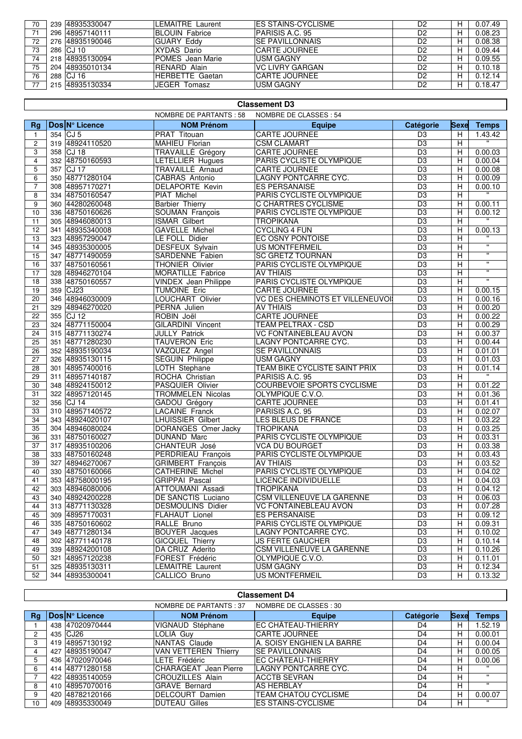| 70 | 239 48935330047 | <b>ILEMAITRE Laurent</b> | <b>IES STAINS-CYCLISME</b> | D2             | н | 0.07.49 |
|----|-----------------|--------------------------|----------------------------|----------------|---|---------|
| 71 | 296 48957140111 | <b>BLOUIN Fabrice</b>    | <b>PARISIS A.C. 95</b>     | D <sub>2</sub> | н | 0.08.23 |
| 72 | 276 48935190046 | <b>GUARY Eddy</b>        | <b>ISE PAVILLONNAIS</b>    | D <sub>2</sub> | н | 0.08.38 |
| 73 | 286 CJ 10       | XYDAS Dario              | <b>CARTE JOURNEE</b>       | D <sub>2</sub> | н | 0.09.44 |
| 74 | 218 48935130094 | <b>POMES</b> Jean Marie  | <b>USM GAGNY</b>           | D <sub>2</sub> | н | 0.09.55 |
| 75 | 204 48935010134 | <b>RENARD Alain</b>      | <b>IVC LIVRY GARGAN</b>    | D <sub>2</sub> | н | 0.10.18 |
| 76 | 288 ICJ 16      | HERBETTE Gaetan          | <b>CARTE JOURNEE</b>       | D <sub>2</sub> |   | 0.12.14 |
|    | 215 48935130334 | JEGER Tomasz             | <b>USM GAGNY</b>           | D <sub>2</sub> | н | 0.18.47 |

|                 | <b>Classement D3</b> |                 |                             |                                      |                 |                |                         |  |  |
|-----------------|----------------------|-----------------|-----------------------------|--------------------------------------|-----------------|----------------|-------------------------|--|--|
|                 |                      |                 | NOMBRE DE PARTANTS : 58     | NOMBRE DE CLASSES : 54               |                 |                |                         |  |  |
| Rg              |                      | Dos N° Licence  | <b>NOM Prénom</b>           | <b>Equipe</b>                        | Catégorie       | Sexe           | <b>Temps</b>            |  |  |
| $\mathbf{1}$    |                      | 354 CJ 5        | PRAT Titouan                | <b>CARTE JOURNEE</b>                 | D <sub>3</sub>  | H              | 1.43.42                 |  |  |
| 2               | 319                  | 48924110520     | MAHIEU Florian              | <b>CSM CLAMART</b>                   | D <sub>3</sub>  | H              |                         |  |  |
| 3               | 358                  | $CJ$ 18         | TRAVAILLÉ Grégory           | CARTE JOURNEE                        | $\overline{D3}$ | H              | 0.00.03                 |  |  |
| $\overline{4}$  |                      | 332 48750160593 | LETELLIER Hugues            | PARIS CYCLISTE OLYMPIQUE             | D <sub>3</sub>  | Н              | 0.00.04                 |  |  |
| 5               | 357                  | $CJ$ 17         | TRAVAILLÉ Arnaud            | CARTE JOURNEE                        | D <sub>3</sub>  | H              | 0.00.08                 |  |  |
| 6               |                      | 350 48771280104 | CABRAS Antonio              | LAGNY PONTCARRE CYC.                 | D <sub>3</sub>  | H              | 0.00.09                 |  |  |
| $\overline{7}$  | 308                  | 48957170271     | DELAPORTE Kevin             | ES PERSANAISE                        | D <sub>3</sub>  | H              | 0.00.10                 |  |  |
| 8               |                      | 334 48750160547 | PIAT Michel                 | PARIS CYCLISTE OLYMPIQUE             | D <sub>3</sub>  | H              |                         |  |  |
| 9               | 360                  | 44280260048     | <b>Barbier Thierry</b>      | <b>C CHARTRES CYCLISME</b>           | D <sub>3</sub>  | Н              | 0.00.11                 |  |  |
| 10              | 336                  | 48750160626     | <b>SOUMAN François</b>      | PARIS CYCLISTE OLYMPIQUE             | D <sub>3</sub>  | H              | 0.00.12                 |  |  |
| 11              |                      | 305 48946080013 | <b>ISMAR Gilbert</b>        | <b>TROPIKANA</b>                     | D <sub>3</sub>  | H              |                         |  |  |
| 12              | 341                  | 48935340008     | <b>GAVELLE Michel</b>       | <b>CYCLING 4 FUN</b>                 | D <sub>3</sub>  | н              | 0.00.13                 |  |  |
| 13              | 323                  | 48957290047     | LE FOLL Didier              | EC OSNY PONTOISE                     | D <sub>3</sub>  | H              |                         |  |  |
| 14              |                      | 345 48935300005 | <b>DESFEUX Sylvain</b>      | <b>US MONTFERMEIL</b>                | D <sub>3</sub>  | H              | $\overline{\mathbf{u}}$ |  |  |
| 15              | 347                  | 48771490059     | SARDENNE Fabien             | <b>SC GRETZ TOURNAN</b>              | D <sub>3</sub>  | Н              | π                       |  |  |
| 16              | 337                  | 48750160561     | <b>THONIER Olivier</b>      | PARIS CYCLISTE OLYMPIQUE             | D <sub>3</sub>  | H              | $\overline{\mathbf{u}}$ |  |  |
| 17              | 328                  | 48946270104     | MORATILLE Fabrice           | <b>AV THIAIS</b>                     | D <sub>3</sub>  | $\overline{H}$ | $\overline{\mathbf{u}}$ |  |  |
| 18              | 338                  | 48750160557     | <b>VINDEX</b> Jean Philippe | PARIS CYCLISTE OLYMPIQUE             | D <sub>3</sub>  | H              | π                       |  |  |
| 19              | 359                  | CJ23            | <b>TUMOINE Eric</b>         | CARTE JOURNEE                        | $\overline{D3}$ | H              | 0.00.15                 |  |  |
| 20              | 346                  | 48946030009     | <b>LOUCHART Olivier</b>     | VC DES CHEMINOTS ET VILLENEUVOIS     | D <sub>3</sub>  | H              | 0.00.16                 |  |  |
| 21              | 329                  | 48946270020     | PERNA Julien                | <b>AV THIAIS</b>                     | D <sub>3</sub>  | H              | 0.00.20                 |  |  |
| 22              | 355                  | <b>CJ12</b>     | ROBIN Joël                  | <b>CARTE JOURNEE</b>                 | $\overline{D3}$ | H              | 0.00.22                 |  |  |
| 23              |                      | 324 48771150004 | <b>GILARDINI Vincent</b>    | <b>TEAM PELTRAX - CSD</b>            | D <sub>3</sub>  | Н              | 0.00.29                 |  |  |
| 24              |                      | 315 48771130274 | <b>JULLY Patrick</b>        | <b>VC FONTAINEBLEAU AVON</b>         | D <sub>3</sub>  | H              | 0.00.37                 |  |  |
| 25              |                      | 351 48771280230 | <b>TAUVERON Eric</b>        | LAGNY PONTCARRE CYC.                 | D <sub>3</sub>  | H              | 0.00.44                 |  |  |
| 26              |                      | 352 48935190034 | VAZQUEZ Angel               | <b>SE PAVILLONNAIS</b>               | D <sub>3</sub>  | н              | 0.01.01                 |  |  |
| 27              | 326                  | 48935130115     | <b>SEGUIN Philippe</b>      | <b>USM GAGNY</b>                     | D <sub>3</sub>  | H              | 0.01.03                 |  |  |
| 28              | 301                  | 48957400016     | LOTH Stephane               | <b>TEAM BIKE CYCLISTE SAINT PRIX</b> | D <sub>3</sub>  | H              | 0.01.14                 |  |  |
| 29              | 311                  | 48957140187     | ROCHA Christian             | PARISIS A.C. 95                      | D <sub>3</sub>  | H              | $\pmb{\mathsf{H}}$      |  |  |
| 30              | 348                  | 48924150012     | <b>PASQUIER Olivier</b>     | <b>COURBEVOIE SPORTS CYCLISME</b>    | D <sub>3</sub>  | H              | 0.01.22                 |  |  |
| 31              | 322                  | 48957120145     | <b>TROMMELEN Nicolas</b>    | OLYMPIQUE C.V.O.                     | D <sub>3</sub>  | H              | 0.01.36                 |  |  |
| 32              |                      | 356 CJ 14       | GADOU Grégory               | <b>CARTE JOURNEE</b>                 | D <sub>3</sub>  | H              | 0.01.41                 |  |  |
| 33              | 310                  | 48957140572     | <b>LACAINE Franck</b>       | PARISIS A.C. 95                      | D <sub>3</sub>  | H              | 0.02.07                 |  |  |
| $\overline{34}$ | 343                  | 48924020107     | <b>LHUISSIER Gilbert</b>    | LES BLEUS DE FRANCE                  | D <sub>3</sub>  | H              | 0.03.22                 |  |  |
| 35              |                      | 304 48946080024 | DORANGES Omer Jacky         | <b>TROPIKANA</b>                     | D <sub>3</sub>  | H              | 0.03.25                 |  |  |
| $\overline{36}$ |                      | 331 48750160027 | DUNAND Marc                 | PARIS CYCLISTE OLYMPIQUE             | $\overline{D3}$ | H              | 0.03.31                 |  |  |
| 37              | 317                  | 48935100206     | <b>CHANTEUR José</b>        | <b>VCA DU BOURGET</b>                | D <sub>3</sub>  | H              | 0.03.38                 |  |  |
| 38              |                      | 333 48750160248 | PERDRIEAU François          | PARIS CYCLISTE OLYMPIQUE             | D <sub>3</sub>  | H              | 0.03.43                 |  |  |
| 39              | 327                  | 48946270067     | <b>GRIMBERT</b> François    | <b>AV THIAIS</b>                     | D <sub>3</sub>  | H              | 0.03.52                 |  |  |
| 40              | 330                  | 48750160066     | <b>CATHERINE Michel</b>     | PARIS CYCLISTE OLYMPIQUE             | D <sub>3</sub>  | Н              | 0.04.02                 |  |  |
| 41              | 353                  | 48758000195     | <b>GRIPPAI Pascal</b>       | <b>LICENCE INDIVIDUELLE</b>          | D <sub>3</sub>  | H              | 0.04.03                 |  |  |
| 42              | 303                  | 48946080006     | ATTOUMANI Assadi            | <b>TROPIKANA</b>                     | $\overline{D3}$ | Н              | 0.04.12                 |  |  |
| 43              |                      | 340 48924200228 | DE SANCTIS Luciano          | <b>CSM VILLENEUVE LA GARENNE</b>     | D3              | H.             | 0.06.03                 |  |  |
| 44              |                      | 313 48771130328 | <b>DESMOULINS Didier</b>    | VC FONTAINEBLEAU AVON                | D <sub>3</sub>  | H              | 0.07.28                 |  |  |
| 45              |                      | 309 48957170031 | <b>FLAHAUT Lionel</b>       | <b>ES PERSANAISE</b>                 | D <sub>3</sub>  | H              | 0.09.12                 |  |  |
| 46              |                      | 335 48750160602 | RALLE Bruno                 | PARIS CYCLISTE OLYMPIQUE             | D3              | H              | 0.09.31                 |  |  |
| 47              |                      | 349 48771280134 | <b>BOUYER</b> Jacques       | LAGNY PONTCARRE CYC.                 | D <sub>3</sub>  | H              | 0.10.02                 |  |  |
| 48              |                      | 302 48771140178 | <b>GICQUEL Thierry</b>      | <b>JS FERTE GAUCHER</b>              | D <sub>3</sub>  | H              | 0.10.14                 |  |  |
| 49              |                      | 339 48924200108 | DA CRUZ Aderito             | <b>CSM VILLENEUVE LA GARENNE</b>     | D <sub>3</sub>  | H              | 0.10.26                 |  |  |
| 50              |                      | 321 48957120238 | FOREST Frédéric             | OLYMPIQUE C.V.O.                     | D <sub>3</sub>  | H              | 0.11.01                 |  |  |
| 51              |                      | 325 48935130311 | LEMAITRE Laurent            | USM GAGNY                            | D <sub>3</sub>  | H              | 0.12.34                 |  |  |
| 52              |                      | 344 48935300041 | CALLICO Bruno               | <b>US MONTFERMEIL</b>                | D <sub>3</sub>  | H              | 0.13.32                 |  |  |

| <b>Classement D4</b> |                                                  |                 |                             |                           |           |             |              |  |  |
|----------------------|--------------------------------------------------|-----------------|-----------------------------|---------------------------|-----------|-------------|--------------|--|--|
|                      | NOMBRE DE PARTANTS: 37<br>NOMBRE DE CLASSES : 30 |                 |                             |                           |           |             |              |  |  |
| Rg                   |                                                  | Dos N° Licence  | <b>NOM Prénom</b>           | <b>Equipe</b>             | Catégorie | <b>Sexe</b> | <b>Temps</b> |  |  |
|                      |                                                  | 438 47020970444 | VIGNAUD Stéphane            | <b>EC CHÂTEAU-THIERRY</b> | D4        | н           | .52.19       |  |  |
| $\overline{2}$       |                                                  | 435 CJ26        | LOLIA Guv                   | <b>CARTE JOURNEE</b>      | D4        | н           | 0.00.01      |  |  |
| 3                    | 419                                              | 48957130192     | NANTAS Claude               | A. SOISY ENGHIEN LA BARRE | D4        | н           | 0.00.04      |  |  |
| 4                    | 427                                              | 48935190047     | <b>VAN VETTEREN Thierry</b> | ISE PAVILLONNAIS          | D4        | н           | 0.00.05      |  |  |
| 5                    |                                                  | 436 47020970046 | LETE Frédéric               | EC CHÂTEAU-THIERRY        | D4        | н           | 0.00.06      |  |  |
| 6                    |                                                  | 414 48771280158 | CHARAGEAT Jean Pierre       | LAGNY PONTCARRE CYC.      | D4        | н           | $\mathbf{H}$ |  |  |
|                      |                                                  | 422 48935140059 | CROUZILLES Alain            | <b>ACCTB SEVRAN</b>       | D4        | н           | $\mathbf{u}$ |  |  |
| 8                    | 410                                              | 48957070016     | <b>GRAVE Bernard</b>        | <b>AS HERBLAY</b>         | D4        | н           | $\mathbf{u}$ |  |  |
| 9                    | 420                                              | 48782120166     | DELCOURT Damien             | TEAM CHATOU CYCLISME      | D4        | н           | 0.00.07      |  |  |
| 10                   | 409                                              | 48935330049     | <b>DUTEAU Gilles</b>        | IES STAINS-CYCLISME       | D4        | н           | $\mathbf{u}$ |  |  |